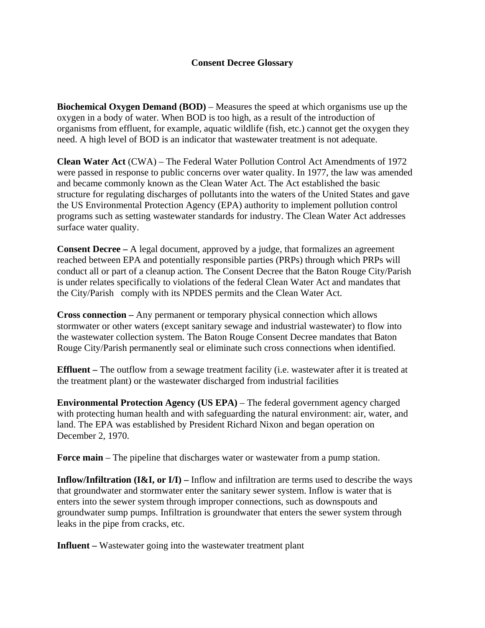## **Consent Decree Glossary**

**Biochemical Oxygen Demand (BOD)** – Measures the speed at which organisms use up the oxygen in a body of water. When BOD is too high, as a result of the introduction of organisms from effluent, for example, aquatic wildlife (fish, etc.) cannot get the oxygen they need. A high level of BOD is an indicator that wastewater treatment is not adequate.

**Clean Water Act** (CWA) – The Federal Water Pollution Control Act Amendments of 1972 were passed in response to public concerns over water quality. In 1977, the law was amended and became commonly known as the Clean Water Act. The Act established the basic structure for regulating discharges of pollutants into the waters of the United States and gave the US Environmental Protection Agency (EPA) authority to implement pollution control programs such as setting wastewater standards for industry. The Clean Water Act addresses surface water quality.

**Consent Decree –** A legal document, approved by a judge, that formalizes an agreement reached between EPA and potentially responsible parties (PRPs) through which PRPs will conduct all or part of a cleanup action. The Consent Decree that the Baton Rouge City/Parish is under relates specifically to violations of the federal Clean Water Act and mandates that the City/Parish comply with its NPDES permits and the Clean Water Act.

**Cross connection –** Any permanent or temporary physical connection which allows stormwater or other waters (except sanitary sewage and industrial wastewater) to flow into the wastewater collection system. The Baton Rouge Consent Decree mandates that Baton Rouge City/Parish permanently seal or eliminate such cross connections when identified.

**Effluent** – The outflow from a [sewage treatment](http://en.wikipedia.org/wiki/Sewage_treatment) facility (i.e. wastewater after it is treated at the treatment plant) or the [wastewater](http://en.wikipedia.org/wiki/Wastewater) discharged from industrial facilities

**Environmental Protection Agency (US EPA)** – The federal government agency charged with protecting human health and with safeguarding the natural environment: air, water, and land. The EPA was established by President Richard Nixon and began operation on December 2, 1970.

**Force main** – The pipeline that discharges water or wastewater from a pump station.

**Inflow/Infiltration (I&I, or I/I) – Inflow and infiltration are terms used to describe the ways** that groundwater and stormwater enter the sanitary sewer system. Inflow is water that is enters into the sewer system through improper connections, such as downspouts and groundwater sump pumps. Infiltration is groundwater that enters the sewer system through leaks in the pipe from cracks, etc.

**Influent** – Wastewater going into the wastewater treatment plant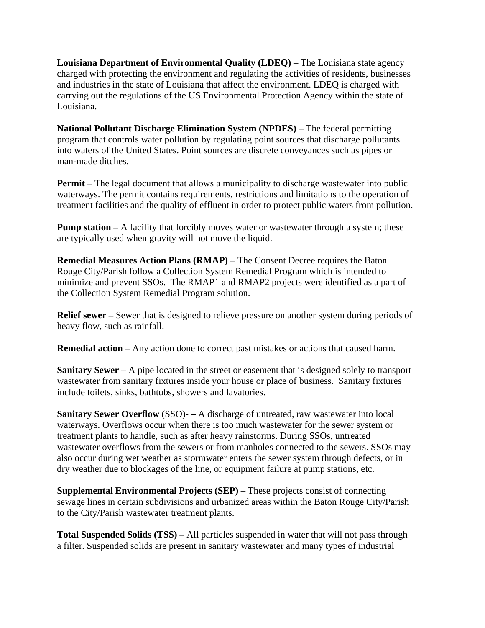**Louisiana Department of Environmental Quality (LDEQ)** – The Louisiana state agency charged with protecting the environment and regulating the activities of residents, businesses and industries in the state of Louisiana that affect the environment. LDEQ is charged with carrying out the regulations of the US Environmental Protection Agency within the state of Louisiana.

**National Pollutant Discharge Elimination System (NPDES)** – The federal permitting program that controls water pollution by regulating point sources that discharge pollutants into waters of the United States. Point sources are discrete conveyances such as pipes or man-made ditches.

**Permit** – The legal document that allows a municipality to discharge wastewater into public waterways. The permit contains requirements, restrictions and limitations to the operation of treatment facilities and the quality of effluent in order to protect public waters from pollution.

**Pump station** – A facility that forcibly moves water or wastewater through a system; these are typically used when gravity will not move the liquid.

**Remedial Measures Action Plans (RMAP)** – The Consent Decree requires the Baton Rouge City/Parish follow a Collection System Remedial Program which is intended to minimize and prevent SSOs. The RMAP1 and RMAP2 projects were identified as a part of the Collection System Remedial Program solution.

**Relief sewer** – Sewer that is designed to relieve pressure on another system during periods of heavy flow, such as rainfall.

**Remedial action** – Any action done to correct past mistakes or actions that caused harm.

**Sanitary Sewer –** A pipe located in the street or easement that is designed solely to transport wastewater from sanitary fixtures inside your house or place of business. Sanitary fixtures include toilets, sinks, bathtubs, showers and lavatories.

**Sanitary Sewer Overflow** (SSO)- **–** A discharge of untreated, raw wastewater into local waterways. Overflows occur when there is too much wastewater for the sewer system or treatment plants to handle, such as after heavy rainstorms. During SSOs, untreated wastewater overflows from the sewers or from manholes connected to the sewers. SSOs may also occur during wet weather as stormwater enters the sewer system through defects, or in dry weather due to blockages of the line, or equipment failure at pump stations, etc.

**Supplemental Environmental Projects (SEP)** – These projects consist of connecting sewage lines in certain subdivisions and urbanized areas within the Baton Rouge City/Parish to the City/Parish wastewater treatment plants.

**Total Suspended Solids (TSS) –** All particles suspended in water that will not pass through a filter. Suspended solids are present in sanitary wastewater and many types of industrial